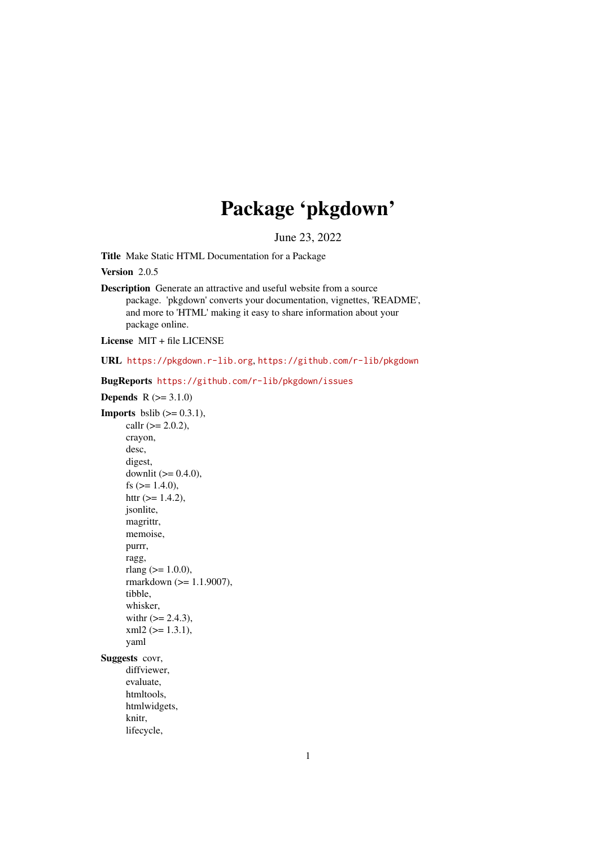# Package 'pkgdown'

June 23, 2022

<span id="page-0-0"></span>Title Make Static HTML Documentation for a Package

Version 2.0.5

Description Generate an attractive and useful website from a source package. 'pkgdown' converts your documentation, vignettes, 'README', and more to 'HTML' making it easy to share information about your package online.

License MIT + file LICENSE

URL <https://pkgdown.r-lib.org>, <https://github.com/r-lib/pkgdown>

BugReports <https://github.com/r-lib/pkgdown/issues>

**Depends**  $R (= 3.1.0)$ **Imports** bslib  $(>= 0.3.1)$ , callr  $(>= 2.0.2)$ , crayon, desc, digest, downlit  $(>= 0.4.0)$ , fs  $(>= 1.4.0)$ , httr  $(>= 1.4.2)$ , jsonlite, magrittr, memoise, purrr, ragg, rlang  $(>= 1.0.0)$ , rmarkdown (>= 1.1.9007), tibble, whisker, with  $(>= 2.4.3)$ ,  $xml2$  ( $>= 1.3.1$ ), yaml Suggests covr, diffviewer, evaluate, htmltools, htmlwidgets, knitr,

lifecycle,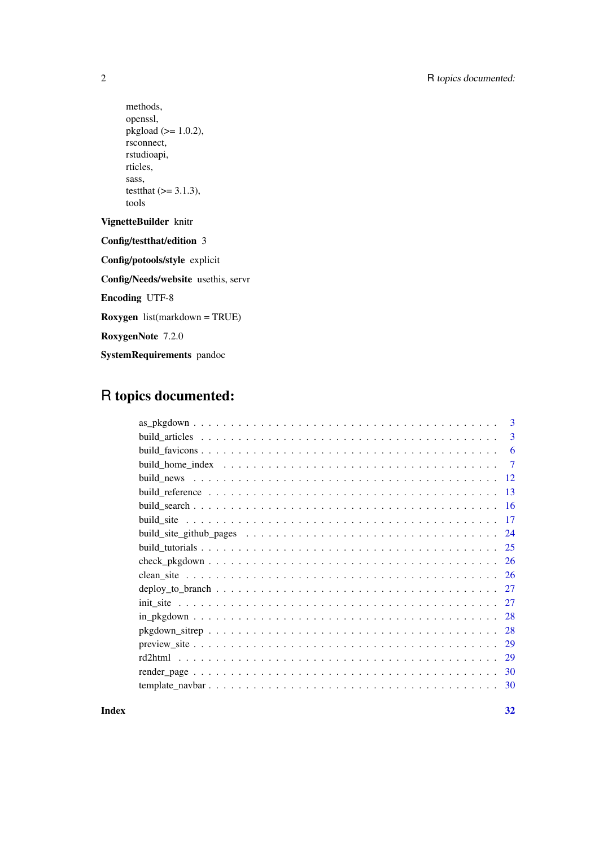methods, openssl, pkgload  $(>= 1.0.2)$ , rsconnect, rstudioapi, rticles, sass, testthat  $(>= 3.1.3)$ , tools VignetteBuilder knitr Config/testthat/edition 3 Config/potools/style explicit Config/Needs/website usethis, servr Encoding UTF-8 Roxygen list(markdown = TRUE) RoxygenNote 7.2.0 SystemRequirements pandoc

## R topics documented:

| 3   |
|-----|
| 3   |
| 6   |
| 7   |
| -12 |
| -13 |
| -16 |
| -17 |
| 24  |
| 25  |
| -26 |
| -26 |
| 27  |
| 27  |
| 28  |
| 28  |
| 29  |
| 29  |
| 30  |
| 30  |
|     |

**Index** [32](#page-31-0)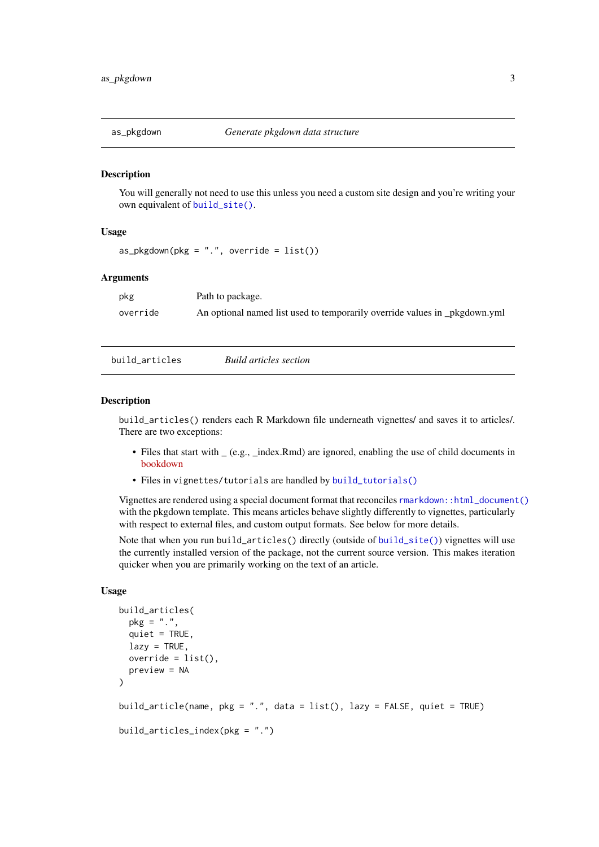<span id="page-2-0"></span>

#### Description

You will generally not need to use this unless you need a custom site design and you're writing your own equivalent of build site().

#### Usage

 $as_pkgdown(pkg = "."$ , override =  $list()$ 

#### Arguments

| pkg      | Path to package.                                                           |
|----------|----------------------------------------------------------------------------|
| override | An optional named list used to temporarily override values in _pkgdown.yml |

<span id="page-2-1"></span>build\_articles *Build articles section*

#### Description

build\_articles() renders each R Markdown file underneath vignettes/ and saves it to articles/. There are two exceptions:

- Files that start with  $(e.g., \text{index.Rmd})$  are ignored, enabling the use of child documents in [bookdown](https://bookdown.org/yihui/bookdown/)
- Files in vignettes/tutorials are handled by [build\\_tutorials\(\)](#page-24-1)

Vignettes are rendered using a special document format that reconciles [rmarkdown::html\\_document\(\)](#page-0-0) with the pkgdown template. This means articles behave slightly differently to vignettes, particularly with respect to external files, and custom output formats. See below for more details.

Note that when you run build\_articles() directly (outside of [build\\_site\(\)](#page-16-1)) vignettes will use the currently installed version of the package, not the current source version. This makes iteration quicker when you are primarily working on the text of an article.

## Usage

```
build_articles(
 pkg = "."quiet = TRUE,
  lazy = TRUE,
 override = list(),
 preview = NA
)
build_article(name, pkg = ".", data = list(), lazy = FALSE, quiet = TRUE)
build_articles_index(pkg = ".")
```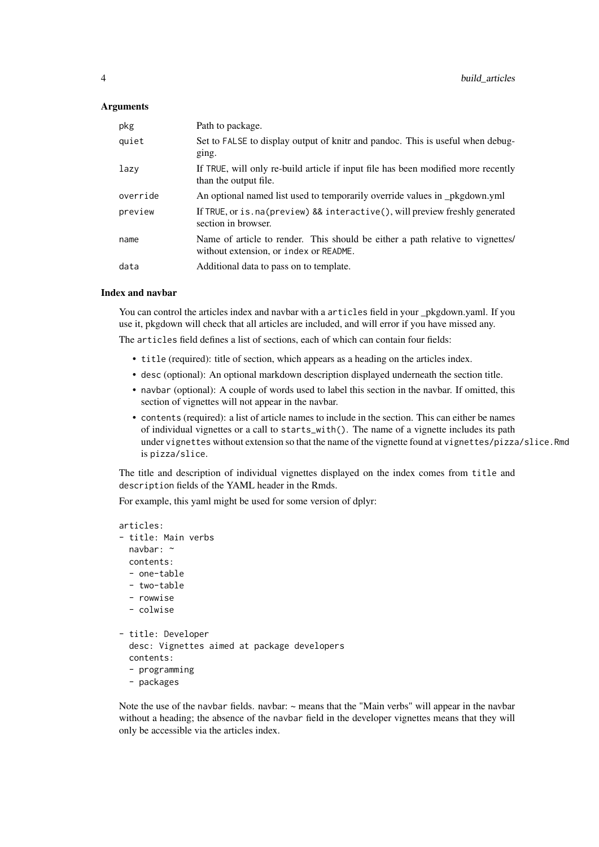#### Arguments

| pkg      | Path to package.                                                                                                         |
|----------|--------------------------------------------------------------------------------------------------------------------------|
| quiet    | Set to FALSE to display output of knitr and pandoc. This is useful when debug-<br>ging.                                  |
| lazy     | If TRUE, will only re-build article if input file has been modified more recently<br>than the output file.               |
| override | An optional named list used to temporarily override values in _pkgdown.yml                                               |
| preview  | If TRUE, or is. na(preview) && interactive(), will preview freshly generated<br>section in browser.                      |
| name     | Name of article to render. This should be either a path relative to vignettes/<br>without extension, or index or README. |
| data     | Additional data to pass on to template.                                                                                  |

#### Index and navbar

You can control the articles index and navbar with a articles field in your \_pkgdown.yaml. If you use it, pkgdown will check that all articles are included, and will error if you have missed any.

The articles field defines a list of sections, each of which can contain four fields:

- title (required): title of section, which appears as a heading on the articles index.
- desc (optional): An optional markdown description displayed underneath the section title.
- navbar (optional): A couple of words used to label this section in the navbar. If omitted, this section of vignettes will not appear in the navbar.
- contents (required): a list of article names to include in the section. This can either be names of individual vignettes or a call to starts\_with(). The name of a vignette includes its path under vignettes without extension so that the name of the vignette found at vignettes/pizza/slice.Rmd is pizza/slice.

The title and description of individual vignettes displayed on the index comes from title and description fields of the YAML header in the Rmds.

For example, this yaml might be used for some version of dplyr:

```
articles:
- title: Main verbs
 navbar: ~
 contents:
  - one-table
  - two-table
  - rowwise
  - colwise
- title: Developer
 desc: Vignettes aimed at package developers
  contents:
  - programming
  - packages
```
Note the use of the navbar fields. navbar: ~ means that the "Main verbs" will appear in the navbar without a heading; the absence of the navbar field in the developer vignettes means that they will only be accessible via the articles index.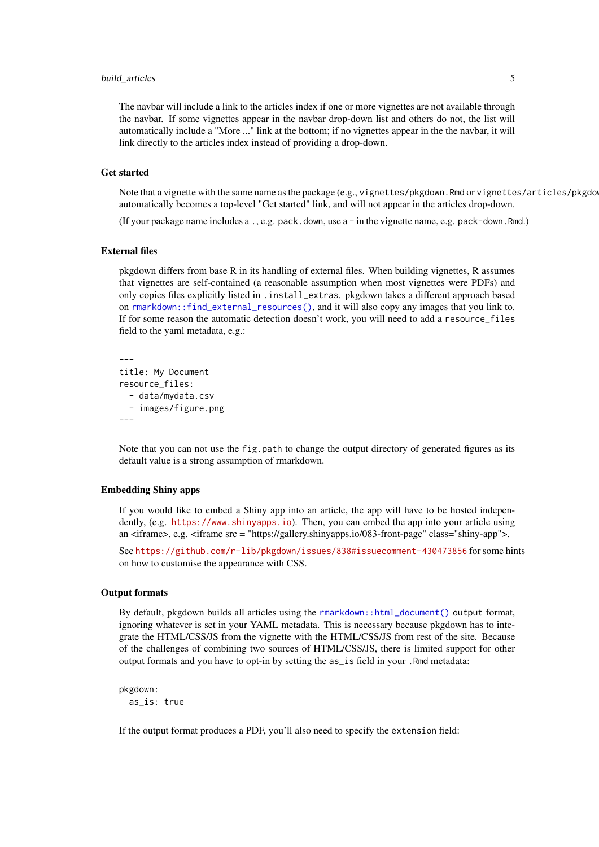#### <span id="page-4-0"></span>build\_articles 5

The navbar will include a link to the articles index if one or more vignettes are not available through the navbar. If some vignettes appear in the navbar drop-down list and others do not, the list will automatically include a "More ..." link at the bottom; if no vignettes appear in the the navbar, it will link directly to the articles index instead of providing a drop-down.

## Get started

Note that a vignette with the same name as the package (e.g., vignettes/pkgdown.Rmd or vignettes/articles/pkgdo automatically becomes a top-level "Get started" link, and will not appear in the articles drop-down.

(If your package name includes  $a_1, e.g.$  pack.down, use  $a - in$  the vignette name, e.g. pack-down.Rmd.)

#### External files

pkgdown differs from base R in its handling of external files. When building vignettes, R assumes that vignettes are self-contained (a reasonable assumption when most vignettes were PDFs) and only copies files explicitly listed in .install\_extras. pkgdown takes a different approach based on [rmarkdown::find\\_external\\_resources\(\)](#page-0-0), and it will also copy any images that you link to. If for some reason the automatic detection doesn't work, you will need to add a resource\_files field to the yaml metadata, e.g.:

```
---
title: My Document
resource_files:
  - data/mydata.csv
  - images/figure.png
---
```
Note that you can not use the fig.path to change the output directory of generated figures as its default value is a strong assumption of rmarkdown.

#### Embedding Shiny apps

If you would like to embed a Shiny app into an article, the app will have to be hosted independently, (e.g. <https://www.shinyapps.io>). Then, you can embed the app into your article using an  $\langle$ iframe>, e.g.  $\langle$ iframe src = "https://gallery.shinyapps.io/083-front-page" class="shiny-app">.

See <https://github.com/r-lib/pkgdown/issues/838#issuecomment-430473856> for some hints on how to customise the appearance with CSS.

#### Output formats

By default, pkgdown builds all articles using the [rmarkdown::html\\_document\(\)](#page-0-0) output format, ignoring whatever is set in your YAML metadata. This is necessary because pkgdown has to integrate the HTML/CSS/JS from the vignette with the HTML/CSS/JS from rest of the site. Because of the challenges of combining two sources of HTML/CSS/JS, there is limited support for other output formats and you have to opt-in by setting the as\_is field in your .Rmd metadata:

pkgdown: as\_is: true

If the output format produces a PDF, you'll also need to specify the extension field: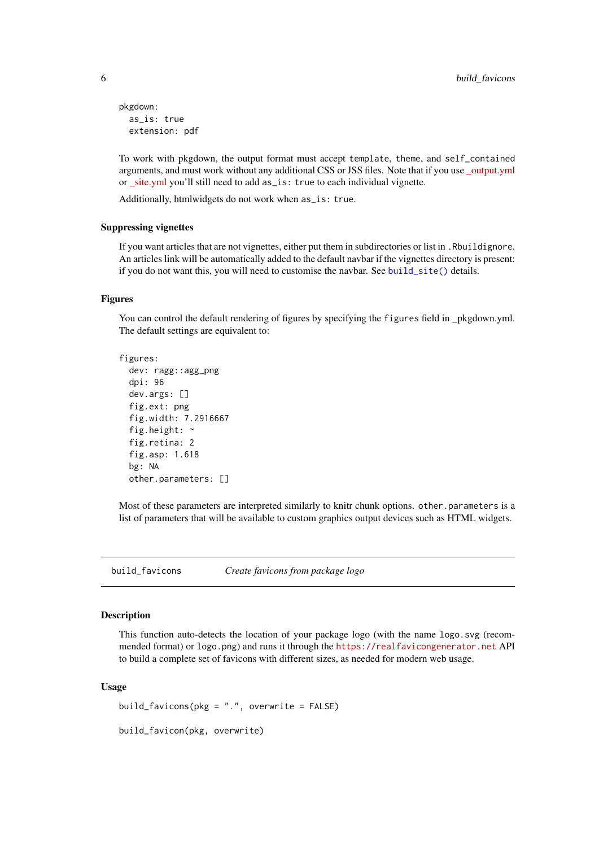```
pkgdown:
  as_is: true
  extension: pdf
```
To work with pkgdown, the output format must accept template, theme, and self\_contained arguments, and must work without any additional CSS or JSS files. Note that if you use [\\_output.yml](https://bookdown.org/yihui/rmarkdown/html-document.html#shared-options) or [\\_site.yml](https://rmarkdown.rstudio.com/docs/reference/render_site.html) you'll still need to add as\_is: true to each individual vignette.

Additionally, htmlwidgets do not work when as\_is: true.

#### Suppressing vignettes

If you want articles that are not vignettes, either put them in subdirectories or list in .Rbuildignore. An articles link will be automatically added to the default navbar if the vignettes directory is present: if you do not want this, you will need to customise the naybar. See build  $site()$  details.

#### Figures

You can control the default rendering of figures by specifying the figures field in \_pkgdown.yml. The default settings are equivalent to:

```
figures:
 dev: ragg::agg_png
 dpi: 96
 dev.args: []
 fig.ext: png
 fig.width: 7.2916667
 fig.height: ~
 fig.retina: 2
 fig.asp: 1.618
 bg: NA
```
other.parameters: []

Most of these parameters are interpreted similarly to knitr chunk options. other.parameters is a list of parameters that will be available to custom graphics output devices such as HTML widgets.

build\_favicons *Create favicons from package logo*

#### Description

This function auto-detects the location of your package logo (with the name logo.svg (recommended format) or logo.png) and runs it through the <https://realfavicongenerator.net> API to build a complete set of favicons with different sizes, as needed for modern web usage.

## Usage

build\_favicons(pkg = ".", overwrite = FALSE) build\_favicon(pkg, overwrite)

<span id="page-5-0"></span>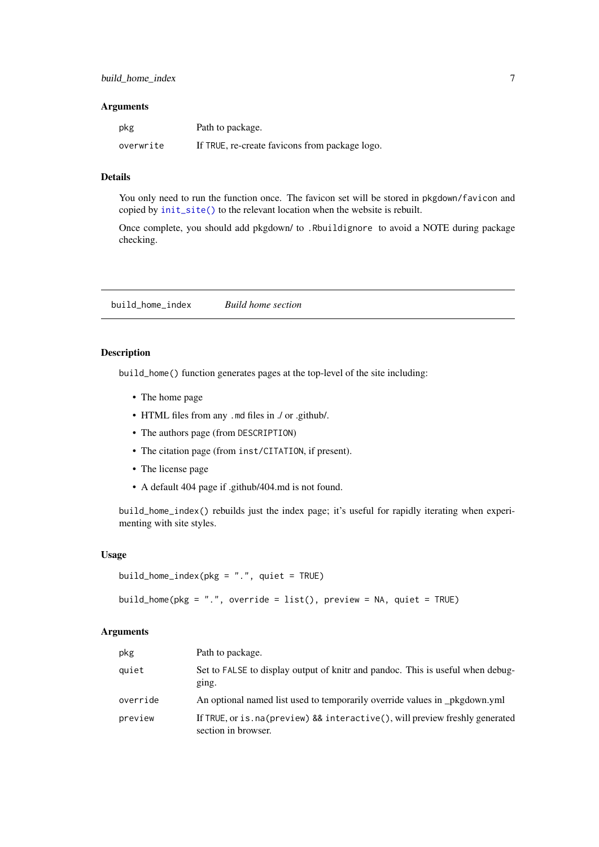#### <span id="page-6-0"></span>Arguments

| pkg       | Path to package.                               |
|-----------|------------------------------------------------|
| overwrite | If TRUE, re-create favicons from package logo. |

#### Details

You only need to run the function once. The favicon set will be stored in pkgdown/favicon and copied by [init\\_site\(\)](#page-26-1) to the relevant location when the website is rebuilt.

Once complete, you should add pkgdown/ to .Rbuildignore to avoid a NOTE during package checking.

build\_home\_index *Build home section*

#### <span id="page-6-1"></span>Description

build\_home() function generates pages at the top-level of the site including:

- The home page
- HTML files from any .md files in ./ or .github/.
- The authors page (from DESCRIPTION)
- The citation page (from inst/CITATION, if present).
- The license page
- A default 404 page if .github/404.md is not found.

build\_home\_index() rebuilds just the index page; it's useful for rapidly iterating when experimenting with site styles.

### Usage

```
build_home_index(pkg = ".", quiet = TRUE)
```

```
build_home(pkg = ".", override = list(), preview = NA, quiet = TRUE)
```
#### Arguments

| pkg      | Path to package.                                                                                        |
|----------|---------------------------------------------------------------------------------------------------------|
| quiet    | Set to FALSE to display output of knitr and pandoc. This is useful when debug-<br>ging.                 |
| override | An optional named list used to temporarily override values in _pkgdown.yml                              |
| preview  | If TRUE, or is . na (preview) & & interactive (), will preview freshly generated<br>section in browser. |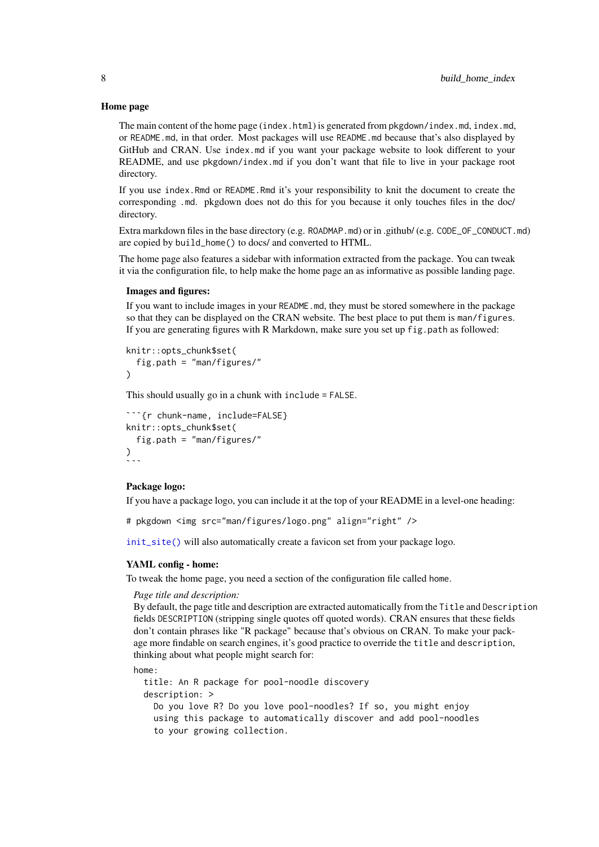#### Home page

The main content of the home page (index.html) is generated from pkgdown/index.md, index.md, or README.md, in that order. Most packages will use README.md because that's also displayed by GitHub and CRAN. Use index.md if you want your package website to look different to your README, and use pkgdown/index.md if you don't want that file to live in your package root directory.

If you use index.Rmd or README.Rmd it's your responsibility to knit the document to create the corresponding .md. pkgdown does not do this for you because it only touches files in the doc/ directory.

Extra markdown files in the base directory (e.g. ROADMAP.md) or in .github/ (e.g. CODE\_OF\_CONDUCT.md) are copied by build\_home() to docs/ and converted to HTML.

The home page also features a sidebar with information extracted from the package. You can tweak it via the configuration file, to help make the home page an as informative as possible landing page.

#### Images and figures:

If you want to include images in your README.md, they must be stored somewhere in the package so that they can be displayed on the CRAN website. The best place to put them is man/figures. If you are generating figures with R Markdown, make sure you set up fig.path as followed:

```
knitr::opts_chunk$set(
 fig.path = "man/figures/"
)
```
This should usually go in a chunk with include = FALSE.

```
***{r chunk-name, include=FALSE}
knitr::opts_chunk$set<mark>(</mark>
 fig.path = "man/figures/"
)
```
## Package logo:

If you have a package logo, you can include it at the top of your README in a level-one heading:

```
# pkgdown <img src="man/figures/logo.png" align="right" />
```
[init\\_site\(\)](#page-26-1) will also automatically create a favicon set from your package logo.

#### YAML config - home:

To tweak the home page, you need a section of the configuration file called home.

#### *Page title and description:*

By default, the page title and description are extracted automatically from the Title and Description fields DESCRIPTION (stripping single quotes off quoted words). CRAN ensures that these fields don't contain phrases like "R package" because that's obvious on CRAN. To make your package more findable on search engines, it's good practice to override the title and description, thinking about what people might search for:

home:

```
title: An R package for pool-noodle discovery
description: >
 Do you love R? Do you love pool-noodles? If so, you might enjoy
 using this package to automatically discover and add pool-noodles
 to your growing collection.
```
<span id="page-7-0"></span>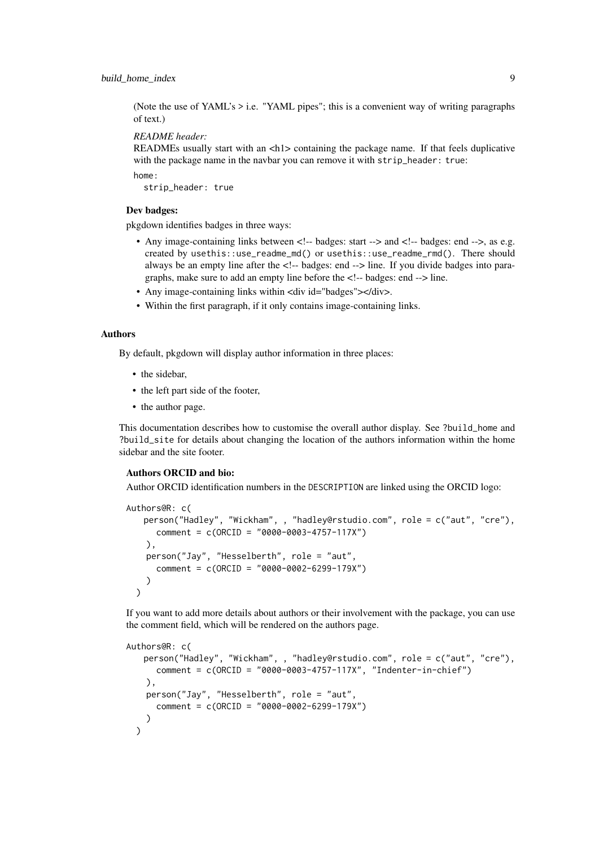(Note the use of YAML's  $>$  i.e. "YAML pipes"; this is a convenient way of writing paragraphs of text.)

*README header:*

READMEs usually start with an  $\langle h1 \rangle$  containing the package name. If that feels duplicative with the package name in the navbar you can remove it with strip\_header: true:

home:

strip\_header: true

## Dev badges:

pkgdown identifies badges in three ways:

- Any image-containing links between <!-- badges: start --> and <!-- badges: end -->, as e.g. created by usethis::use\_readme\_md() or usethis::use\_readme\_rmd(). There should always be an empty line after the  $\lt!$ !-- badges: end  $\lt$ -> line. If you divide badges into paragraphs, make sure to add an empty line before the <!-- badges: end --> line.
- Any image-containing links within <div id="badges"></div>.
- Within the first paragraph, if it only contains image-containing links.

#### Authors

By default, pkgdown will display author information in three places:

- the sidebar,
- the left part side of the footer,
- the author page.

This documentation describes how to customise the overall author display. See ?build\_home and ?build\_site for details about changing the location of the authors information within the home sidebar and the site footer.

## Authors ORCID and bio:

Author ORCID identification numbers in the DESCRIPTION are linked using the ORCID logo:

```
Authors@R: c(
   person("Hadley", "Wickham", , "hadley@rstudio.com", role = c("aut", "cre"),
     comment = c(ORCID = "0000-0003-4757-117X")
    ),
   person("Jay", "Hesselberth", role = "aut",
      comment = c(ORCID = "0000-0002-6299-179X")
    )
  )
```
If you want to add more details about authors or their involvement with the package, you can use the comment field, which will be rendered on the authors page.

```
Authors@R: c(
   person("Hadley", "Wickham", , "hadley@rstudio.com", role = c("aut", "cre"),
      comment = c(ORCID = "0000-0003-4757-117X", "Indenter-in-chief")
    ),
    person("Jay", "Hesselberth", role = "aut",
      comment = c(ORCID = "0000-0002-6299-179X")
    )
  )
```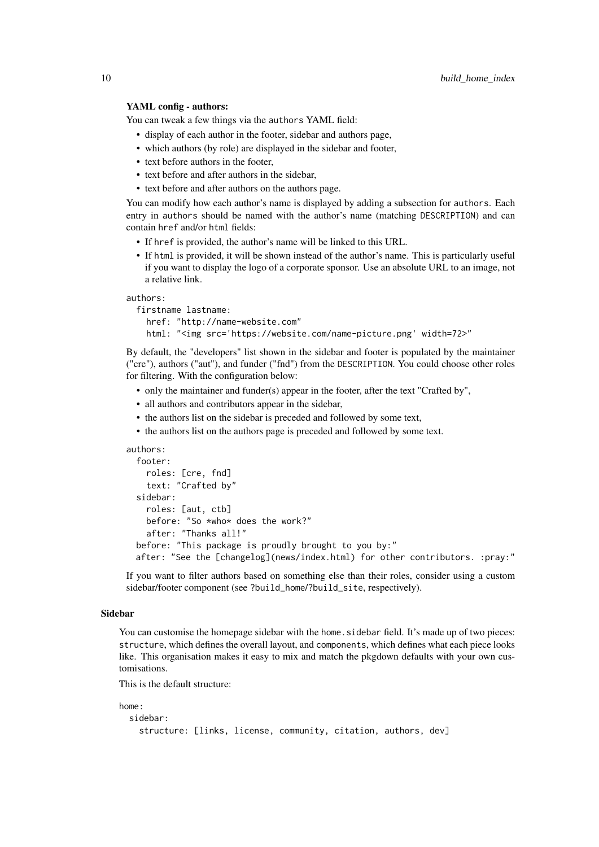#### YAML config - authors:

You can tweak a few things via the authors YAML field:

- display of each author in the footer, sidebar and authors page,
- which authors (by role) are displayed in the sidebar and footer,
- text before authors in the footer,
- text before and after authors in the sidebar,
- text before and after authors on the authors page.

You can modify how each author's name is displayed by adding a subsection for authors. Each entry in authors should be named with the author's name (matching DESCRIPTION) and can contain href and/or html fields:

- If href is provided, the author's name will be linked to this URL.
- If html is provided, it will be shown instead of the author's name. This is particularly useful if you want to display the logo of a corporate sponsor. Use an absolute URL to an image, not a relative link.

authors:

```
firstname lastname:
 href: "http://name-website.com"
 html: "<img src='https://website.com/name-picture.png' width=72>"
```
By default, the "developers" list shown in the sidebar and footer is populated by the maintainer ("cre"), authors ("aut"), and funder ("fnd") from the DESCRIPTION. You could choose other roles for filtering. With the configuration below:

- only the maintainer and funder(s) appear in the footer, after the text "Crafted by",
- all authors and contributors appear in the sidebar,
- the authors list on the sidebar is preceded and followed by some text,
- the authors list on the authors page is preceded and followed by some text.

```
authors:
```

```
footer:
 roles: [cre, fnd]
  text: "Crafted by"
sidebar:
  roles: [aut, ctb]
  before: "So *who* does the work?"
  after: "Thanks all!"
before: "This package is proudly brought to you by:"
after: "See the [changelog](news/index.html) for other contributors. :pray:"
```
If you want to filter authors based on something else than their roles, consider using a custom sidebar/footer component (see ?build\_home/?build\_site, respectively).

#### Sidebar

You can customise the homepage sidebar with the home. sidebar field. It's made up of two pieces: structure, which defines the overall layout, and components, which defines what each piece looks like. This organisation makes it easy to mix and match the pkgdown defaults with your own customisations.

This is the default structure:

```
home:
  sidebar:
    structure: [links, license, community, citation, authors, dev]
```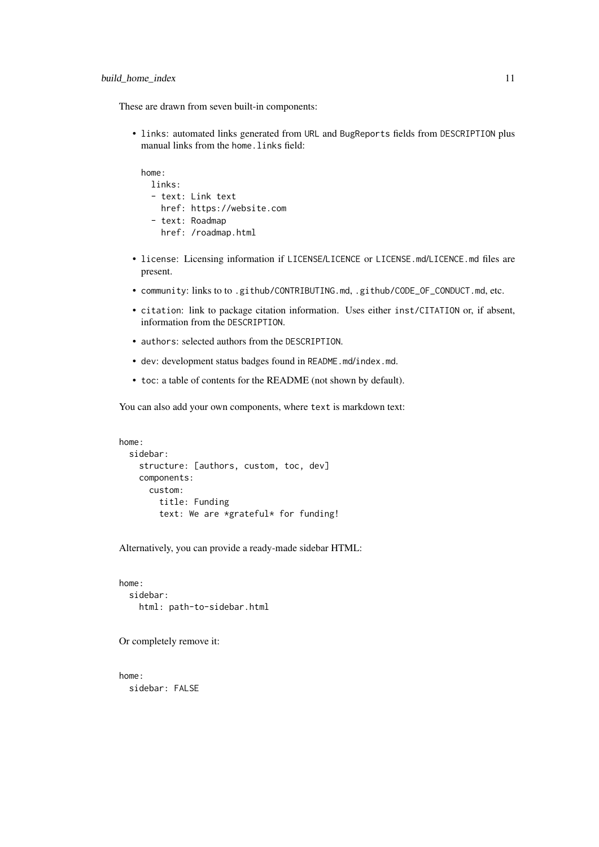These are drawn from seven built-in components:

• links: automated links generated from URL and BugReports fields from DESCRIPTION plus manual links from the home. Links field:

home: links: - text: Link text href: https://website.com - text: Roadmap href: /roadmap.html

- license: Licensing information if LICENSE/LICENCE or LICENSE.md/LICENCE.md files are present.
- community: links to to .github/CONTRIBUTING.md, .github/CODE\_OF\_CONDUCT.md, etc.
- citation: link to package citation information. Uses either inst/CITATION or, if absent, information from the DESCRIPTION.
- authors: selected authors from the DESCRIPTION.
- dev: development status badges found in README.md/index.md.
- toc: a table of contents for the README (not shown by default).

You can also add your own components, where text is markdown text:

```
home:
  sidebar:
    structure: [authors, custom, toc, dev]
    components:
      custom:
        title: Funding
        text: We are *grateful* for funding!
```
Alternatively, you can provide a ready-made sidebar HTML:

home: sidebar: html: path-to-sidebar.html

Or completely remove it:

home: sidebar: FALSE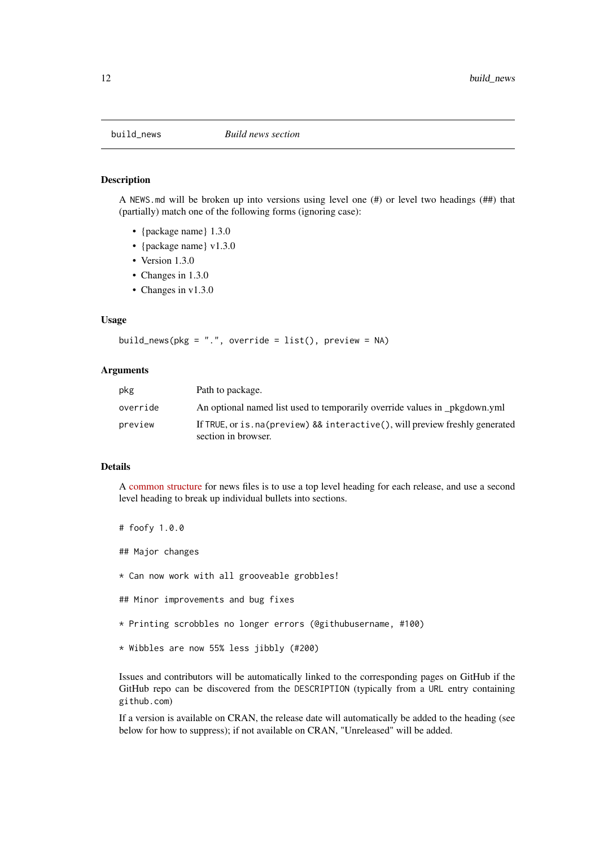<span id="page-11-1"></span><span id="page-11-0"></span>

#### Description

A NEWS.md will be broken up into versions using level one (#) or level two headings (##) that (partially) match one of the following forms (ignoring case):

- {package name} 1.3.0
- {package name} v1.3.0
- Version 1.3.0
- Changes in 1.3.0
- Changes in v1.3.0

#### Usage

```
build_news(pkg = ".", override = list(), preview = NA)
```
## Arguments

| pkg      | Path to package.                                                                                      |
|----------|-------------------------------------------------------------------------------------------------------|
| override | An optional named list used to temporarily override values in pkgdown.yml                             |
| preview  | If TRUE, or is. na (preview) && interactive (), will preview freshly generated<br>section in browser. |

## Details

A [common structure](https://style.tidyverse.org/news.html) for news files is to use a top level heading for each release, and use a second level heading to break up individual bullets into sections.

# foofy 1.0.0 ## Major changes \* Can now work with all grooveable grobbles! ## Minor improvements and bug fixes \* Printing scrobbles no longer errors (@githubusername, #100) \* Wibbles are now 55% less jibbly (#200)

Issues and contributors will be automatically linked to the corresponding pages on GitHub if the GitHub repo can be discovered from the DESCRIPTION (typically from a URL entry containing github.com)

If a version is available on CRAN, the release date will automatically be added to the heading (see below for how to suppress); if not available on CRAN, "Unreleased" will be added.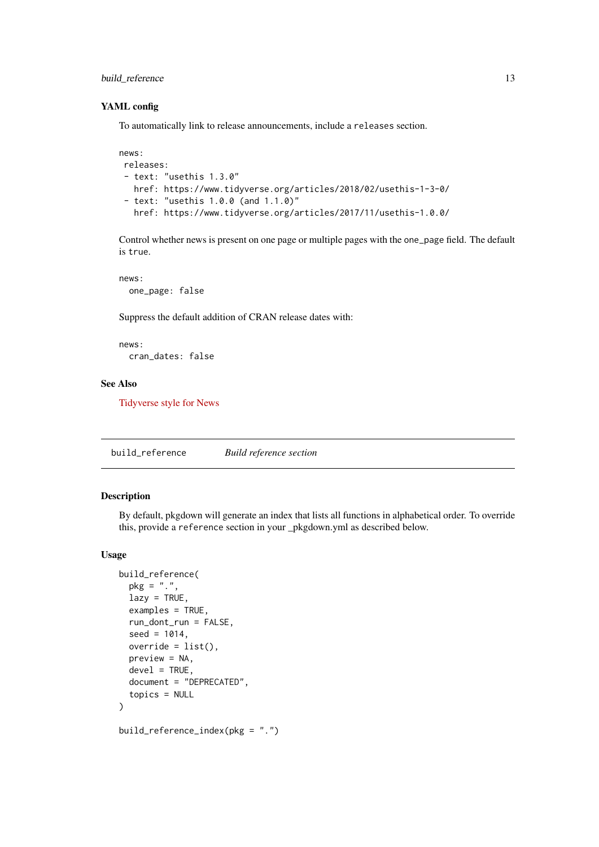#### <span id="page-12-0"></span>build\_reference 13

#### YAML config

To automatically link to release announcements, include a releases section.

```
news:
releases:
 - text: "usethis 1.3.0"
  href: https://www.tidyverse.org/articles/2018/02/usethis-1-3-0/
 - text: "usethis 1.0.0 (and 1.1.0)"
   href: https://www.tidyverse.org/articles/2017/11/usethis-1.0.0/
```
Control whether news is present on one page or multiple pages with the one\_page field. The default is true.

news: one\_page: false

Suppress the default addition of CRAN release dates with:

news: cran\_dates: false

#### See Also

[Tidyverse style for News](https://style.tidyverse.org/news.html)

<span id="page-12-1"></span>build\_reference *Build reference section*

#### Description

By default, pkgdown will generate an index that lists all functions in alphabetical order. To override this, provide a reference section in your \_pkgdown.yml as described below.

## Usage

```
build_reference(
  pkg = ".",
  lazy = TRUE,examples = TRUE,
 run_dont_run = FALSE,
 seed = 1014,override = list(),
 preview = NA,
 devel = TRUE,document = "DEPRECATED",
  topics = NULL
)
build_reference_index(pkg = ".")
```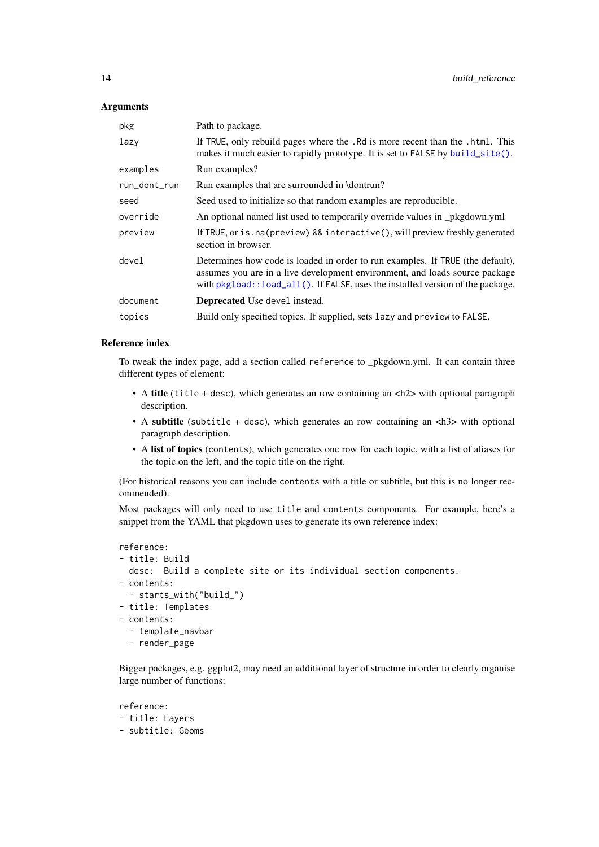## <span id="page-13-0"></span>Arguments

| pkg          | Path to package.                                                                                                                                                                                                                                          |
|--------------|-----------------------------------------------------------------------------------------------------------------------------------------------------------------------------------------------------------------------------------------------------------|
| lazy         | If TRUE, only rebuild pages where the . Rd is more recent than the . html. This<br>makes it much easier to rapidly prototype. It is set to FALSE by build_site().                                                                                         |
| examples     | Run examples?                                                                                                                                                                                                                                             |
| run_dont_run | Run examples that are surrounded in \dontrun?                                                                                                                                                                                                             |
| seed         | Seed used to initialize so that random examples are reproducible.                                                                                                                                                                                         |
| override     | An optional named list used to temporarily override values in _pkgdown.yml                                                                                                                                                                                |
| preview      | If TRUE, or is. na (preview) && interactive(), will preview freshly generated<br>section in browser.                                                                                                                                                      |
| devel        | Determines how code is loaded in order to run examples. If TRUE (the default),<br>assumes you are in a live development environment, and loads source package<br>with $pkgload$ : $load\_all()$ . If $FALSE$ , uses the installed version of the package. |
| document     | <b>Deprecated</b> Use devel instead.                                                                                                                                                                                                                      |
| topics       | Build only specified topics. If supplied, sets lazy and preview to FALSE.                                                                                                                                                                                 |

## Reference index

To tweak the index page, add a section called reference to \_pkgdown.yml. It can contain three different types of element:

- A title (title + desc), which generates an row containing an <h2> with optional paragraph description.
- A subtitle (subtitle + desc), which generates an row containing an  $\langle h3 \rangle$  with optional paragraph description.
- A list of topics (contents), which generates one row for each topic, with a list of aliases for the topic on the left, and the topic title on the right.

(For historical reasons you can include contents with a title or subtitle, but this is no longer recommended).

Most packages will only need to use title and contents components. For example, here's a snippet from the YAML that pkgdown uses to generate its own reference index:

```
reference:
- title: Build
 desc: Build a complete site or its individual section components.
- contents:
  - starts_with("build_")
- title: Templates
- contents:
  - template_navbar
  - render_page
```
Bigger packages, e.g. ggplot2, may need an additional layer of structure in order to clearly organise large number of functions:

```
reference:
- title: Layers
- subtitle: Geoms
```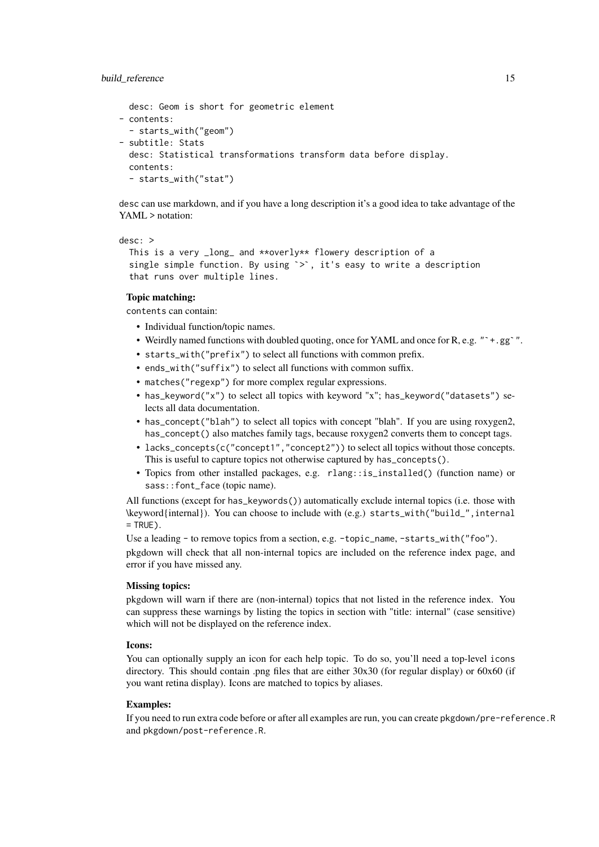#### build\_reference 15

```
desc: Geom is short for geometric element
- contents:
  - starts_with("geom")
- subtitle: Stats
 desc: Statistical transformations transform data before display.
 contents:
  - starts_with("stat")
```
desc can use markdown, and if you have a long description it's a good idea to take advantage of the YAML > notation:

```
desc: >
```

```
This is a very _long_ and **overly** flowery description of a
single simple function. By using \geq, it's easy to write a description
that runs over multiple lines.
```
## Topic matching:

contents can contain:

- Individual function/topic names.
- Weirdly named functions with doubled quoting, once for YAML and once for R, e.g. "`+.gg`".
- starts\_with("prefix") to select all functions with common prefix.
- ends\_with("suffix") to select all functions with common suffix.
- matches("regexp") for more complex regular expressions.
- has\_keyword("x") to select all topics with keyword "x"; has\_keyword("datasets") selects all data documentation.
- has\_concept("blah") to select all topics with concept "blah". If you are using roxygen2, has\_concept() also matches family tags, because roxygen2 converts them to concept tags.
- lacks\_concepts(c("concept1","concept2")) to select all topics without those concepts. This is useful to capture topics not otherwise captured by has\_concepts().
- Topics from other installed packages, e.g. rlang::is\_installed() (function name) or sass::font\_face (topic name).

All functions (except for has\_keywords()) automatically exclude internal topics (i.e. those with \keyword{internal}). You can choose to include with (e.g.) starts\_with("build\_",internal  $= TRUFD$ .

Use a leading - to remove topics from a section, e.g. -topic\_name, -starts\_with("foo"). pkgdown will check that all non-internal topics are included on the reference index page, and error if you have missed any.

#### Missing topics:

pkgdown will warn if there are (non-internal) topics that not listed in the reference index. You can suppress these warnings by listing the topics in section with "title: internal" (case sensitive) which will not be displayed on the reference index.

#### Icons:

You can optionally supply an icon for each help topic. To do so, you'll need a top-level icons directory. This should contain .png files that are either 30x30 (for regular display) or 60x60 (if you want retina display). Icons are matched to topics by aliases.

#### Examples:

If you need to run extra code before or after all examples are run, you can create pkgdown/pre-reference.R and pkgdown/post-reference.R.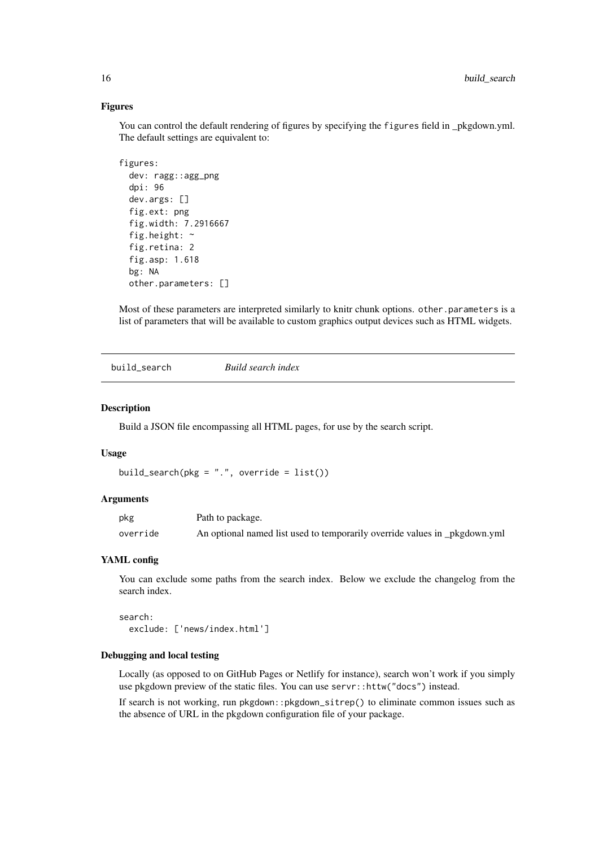#### Figures

You can control the default rendering of figures by specifying the figures field in \_pkgdown.yml. The default settings are equivalent to:

```
figures:
 dev: ragg::agg_png
 dpi: 96
 dev.args: []
  fig.ext: png
  fig.width: 7.2916667
 fig.height: ~
  fig.retina: 2
 fig.asp: 1.618
 bg: NA
 other.parameters: []
```
Most of these parameters are interpreted similarly to knitr chunk options. other.parameters is a list of parameters that will be available to custom graphics output devices such as HTML widgets.

build\_search *Build search index*

#### Description

Build a JSON file encompassing all HTML pages, for use by the search script.

#### Usage

```
build_search(pkg = ".", override = list())
```
#### Arguments

| pkg      | Path to package.                                                           |
|----------|----------------------------------------------------------------------------|
| override | An optional named list used to temporarily override values in _pkgdown.yml |

#### YAML config

You can exclude some paths from the search index. Below we exclude the changelog from the search index.

search: exclude: ['news/index.html']

## Debugging and local testing

Locally (as opposed to on GitHub Pages or Netlify for instance), search won't work if you simply use pkgdown preview of the static files. You can use servr::httw("docs") instead.

If search is not working, run pkgdown::pkgdown\_sitrep() to eliminate common issues such as the absence of URL in the pkgdown configuration file of your package.

<span id="page-15-0"></span>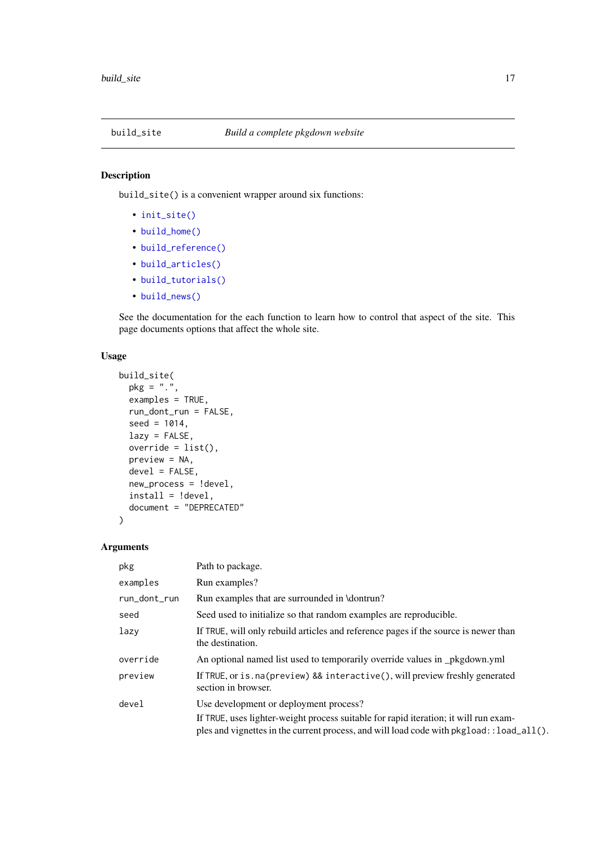<span id="page-16-1"></span><span id="page-16-0"></span>

## Description

build\_site() is a convenient wrapper around six functions:

- [init\\_site\(\)](#page-26-1)
- [build\\_home\(\)](#page-6-1)
- [build\\_reference\(\)](#page-12-1)
- [build\\_articles\(\)](#page-2-1)
- [build\\_tutorials\(\)](#page-24-1)
- [build\\_news\(\)](#page-11-1)

See the documentation for the each function to learn how to control that aspect of the site. This page documents options that affect the whole site.

## Usage

```
build_site(
  pkg = "."examples = TRUE,
  run_dont_run = FALSE,
  seed = 1014,lazy = FALSE,
  override = list(),
  preview = NA,
  devel = FALSE,
  new_process = !devel,
  install = !devel,
  document = "DEPRECATED"
\lambda
```
## Arguments

| pkg          | Path to package.                                                                                                                                                                  |
|--------------|-----------------------------------------------------------------------------------------------------------------------------------------------------------------------------------|
| examples     | Run examples?                                                                                                                                                                     |
| run_dont_run | Run examples that are surrounded in \dontrun?                                                                                                                                     |
| seed         | Seed used to initialize so that random examples are reproducible.                                                                                                                 |
| lazy         | If TRUE, will only rebuild articles and reference pages if the source is newer than<br>the destination.                                                                           |
| override     | An optional named list used to temporarily override values in _pkgdown.yml                                                                                                        |
| preview      | If TRUE, or is. na (preview) && interactive(), will preview freshly generated<br>section in browser.                                                                              |
| devel        | Use development or deployment process?                                                                                                                                            |
|              | If TRUE, uses lighter-weight process suitable for rapid iteration; it will run exam-<br>ples and vignettes in the current process, and will load code with pkgload: : load_all(). |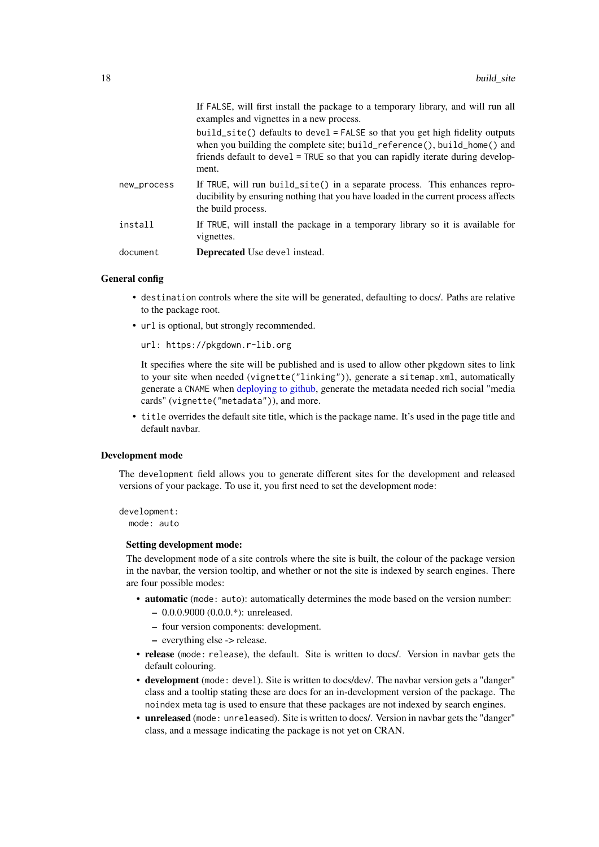<span id="page-17-0"></span>

|             | If FALSE, will first install the package to a temporary library, and will run all<br>examples and vignettes in a new process.                                                                                                                          |
|-------------|--------------------------------------------------------------------------------------------------------------------------------------------------------------------------------------------------------------------------------------------------------|
|             | build_site() defaults to devel = $FALSE$ so that you get high fidelity outputs<br>when you building the complete site; build_reference(), build_home() and<br>friends default to devel = TRUE so that you can rapidly iterate during develop-<br>ment. |
| new_process | If TRUE, will run build_site() in a separate process. This enhances repro-<br>ducibility by ensuring nothing that you have loaded in the current process affects<br>the build process.                                                                 |
| install     | If TRUE, will install the package in a temporary library so it is available for<br>vignettes.                                                                                                                                                          |
| document    | <b>Deprecated</b> Use devel instead.                                                                                                                                                                                                                   |

#### General config

- destination controls where the site will be generated, defaulting to docs/. Paths are relative to the package root.
- url is optional, but strongly recommended.

```
url: https://pkgdown.r-lib.org
```
It specifies where the site will be published and is used to allow other pkgdown sites to link to your site when needed (vignette("linking")), generate a sitemap.xml, automatically generate a CNAME when [deploying to github,](#page-0-0) generate the metadata needed rich social "media cards" (vignette("metadata")), and more.

• title overrides the default site title, which is the package name. It's used in the page title and default navbar.

## Development mode

The development field allows you to generate different sites for the development and released versions of your package. To use it, you first need to set the development mode:

development: mode: auto

#### Setting development mode:

The development mode of a site controls where the site is built, the colour of the package version in the navbar, the version tooltip, and whether or not the site is indexed by search engines. There are four possible modes:

- automatic (mode: auto): automatically determines the mode based on the version number:
	- 0.0.0.9000 (0.0.0.\*): unreleased.
	- four version components: development.
	- everything else -> release.
- release (mode: release), the default. Site is written to docs/. Version in navbar gets the default colouring.
- development (mode: devel). Site is written to docs/dev/. The navbar version gets a "danger" class and a tooltip stating these are docs for an in-development version of the package. The noindex meta tag is used to ensure that these packages are not indexed by search engines.
- unreleased (mode: unreleased). Site is written to docs/. Version in navbar gets the "danger" class, and a message indicating the package is not yet on CRAN.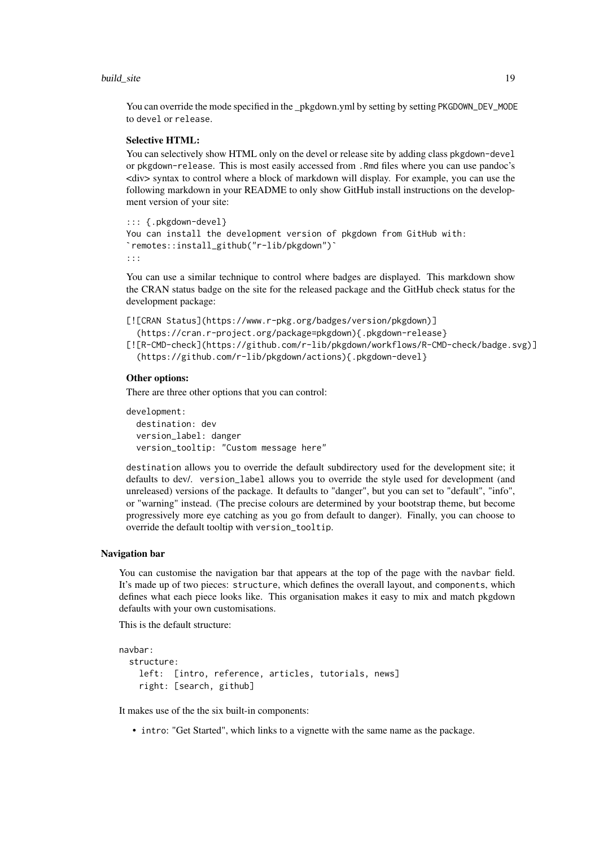#### build\_site 19

You can override the mode specified in the \_pkgdown.yml by setting by setting PKGDOWN\_DEV\_MODE to devel or release.

#### Selective HTML:

You can selectively show HTML only on the devel or release site by adding class pkgdown-devel or pkgdown-release. This is most easily accessed from .Rmd files where you can use pandoc's <div> syntax to control where a block of markdown will display. For example, you can use the following markdown in your README to only show GitHub install instructions on the development version of your site:

```
::: {.pkgdown-devel}
You can install the development version of pkgdown from GitHub with:
remotes::install_github("r-lib/pkgdown")`
:::
```
You can use a similar technique to control where badges are displayed. This markdown show the CRAN status badge on the site for the released package and the GitHub check status for the development package:

```
[![CRAN Status](https://www.r-pkg.org/badges/version/pkgdown)]
  (https://cran.r-project.org/package=pkgdown){.pkgdown-release}
[![R-CMD-check](https://github.com/r-lib/pkgdown/workflows/R-CMD-check/badge.svg)]
```

```
(https://github.com/r-lib/pkgdown/actions){.pkgdown-devel}
```
#### Other options:

There are three other options that you can control:

```
development:
  destination: dev
  version_label: danger
  version_tooltip: "Custom message here"
```
destination allows you to override the default subdirectory used for the development site; it defaults to dev/. version\_label allows you to override the style used for development (and unreleased) versions of the package. It defaults to "danger", but you can set to "default", "info", or "warning" instead. (The precise colours are determined by your bootstrap theme, but become progressively more eye catching as you go from default to danger). Finally, you can choose to override the default tooltip with version\_tooltip.

#### Navigation bar

You can customise the navigation bar that appears at the top of the page with the navbar field. It's made up of two pieces: structure, which defines the overall layout, and components, which defines what each piece looks like. This organisation makes it easy to mix and match pkgdown defaults with your own customisations.

This is the default structure:

```
navbar:
 structure:
   left: [intro, reference, articles, tutorials, news]
    right: [search, github]
```
It makes use of the the six built-in components:

• intro: "Get Started", which links to a vignette with the same name as the package.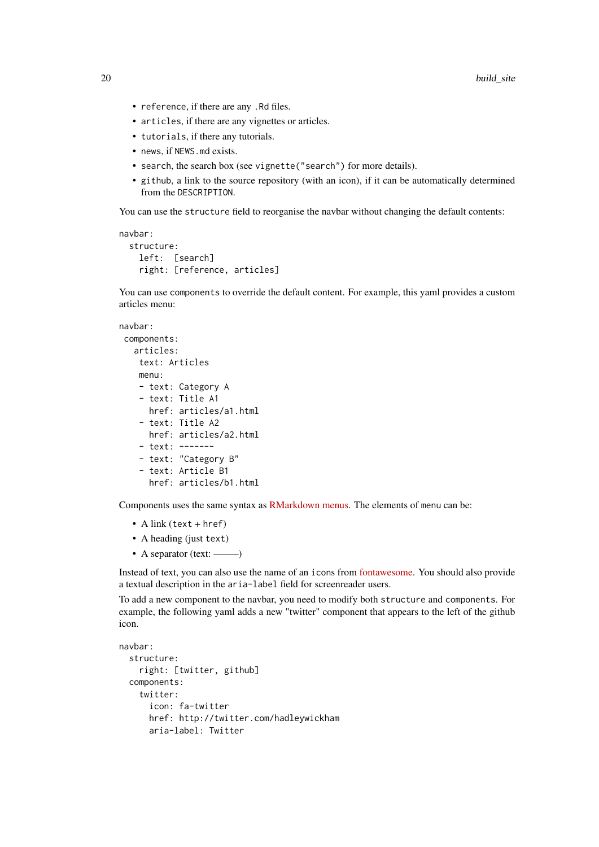- reference, if there are any .Rd files.
- articles, if there are any vignettes or articles.
- tutorials, if there any tutorials.
- news, if NEWS.md exists.
- search, the search box (see vignette("search") for more details).
- github, a link to the source repository (with an icon), if it can be automatically determined from the DESCRIPTION.

You can use the structure field to reorganise the navbar without changing the default contents:

```
navbar:
```

```
structure:
 left: [search]
 right: [reference, articles]
```
You can use components to override the default content. For example, this yaml provides a custom articles menu:

```
navbar:
components:
   articles:
   text: Articles
   menu:
    - text: Category A
   - text: Title A1
     href: articles/a1.html
    - text: Title A2
     href: articles/a2.html
    - text: -------
    - text: "Category B"
    - text: Article B1
      href: articles/b1.html
```
Components uses the same syntax as [RMarkdown menus.](https://bookdown.org/yihui/rmarkdown/rmarkdown-site.html#site-navigation) The elements of menu can be:

- A link (text + href)
- A heading (just text)
- A separator (text: ——–)

Instead of text, you can also use the name of an icons from [fontawesome.](https://fontawesome.com/icons?d=gallery) You should also provide a textual description in the aria-label field for screenreader users.

To add a new component to the navbar, you need to modify both structure and components. For example, the following yaml adds a new "twitter" component that appears to the left of the github icon.

```
navbar:
  structure:
    right: [twitter, github]
  components:
    twitter:
      icon: fa-twitter
      href: http://twitter.com/hadleywickham
      aria-label: Twitter
```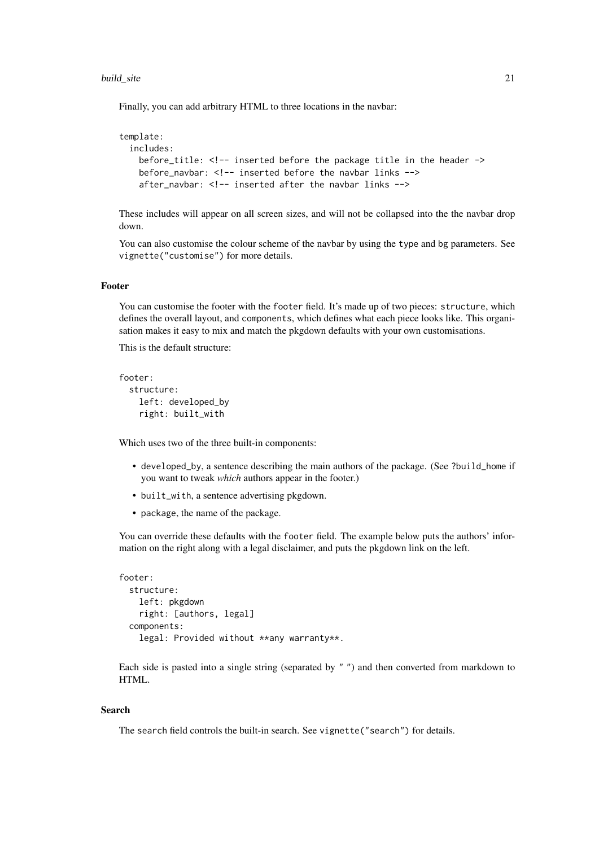#### build\_site 21

Finally, you can add arbitrary HTML to three locations in the navbar:

```
template:
 includes:
   before_title: <!-- inserted before the package title in the header ->
   before_navbar: <!-- inserted before the navbar links -->
   after_navbar: <!-- inserted after the navbar links -->
```
These includes will appear on all screen sizes, and will not be collapsed into the the navbar drop down.

You can also customise the colour scheme of the navbar by using the type and bg parameters. See vignette("customise") for more details.

## Footer

You can customise the footer with the footer field. It's made up of two pieces: structure, which defines the overall layout, and components, which defines what each piece looks like. This organisation makes it easy to mix and match the pkgdown defaults with your own customisations.

This is the default structure:

```
footer:
  structure:
    left: developed_by
    right: built_with
```
Which uses two of the three built-in components:

- developed\_by, a sentence describing the main authors of the package. (See ?build\_home if you want to tweak *which* authors appear in the footer.)
- built\_with, a sentence advertising pkgdown.
- package, the name of the package.

You can override these defaults with the footer field. The example below puts the authors' information on the right along with a legal disclaimer, and puts the pkgdown link on the left.

```
footer:
  structure:
   left: pkgdown
   right: [authors, legal]
  components:
    legal: Provided without **any warranty**.
```
Each side is pasted into a single string (separated by " ") and then converted from markdown to HTML.

## Search

The search field controls the built-in search. See vignette("search") for details.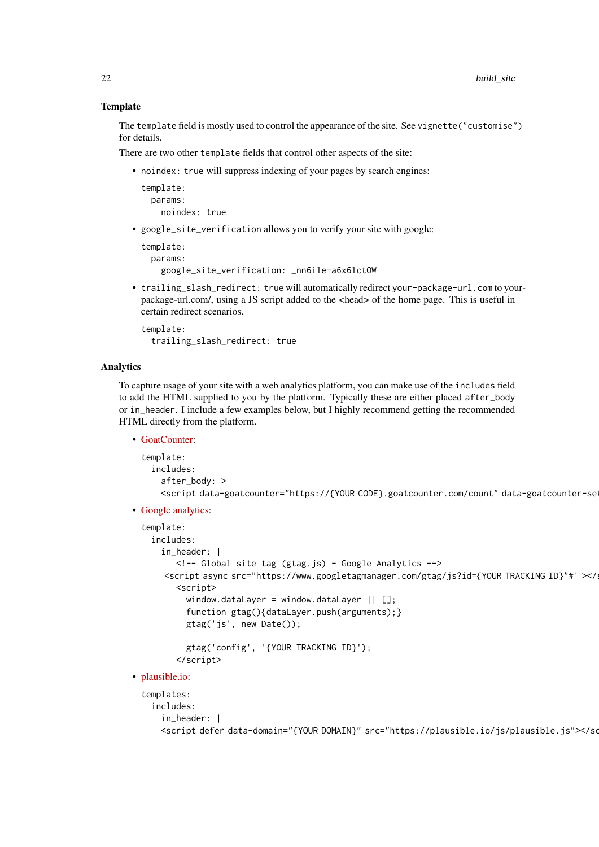#### **Template**

The template field is mostly used to control the appearance of the site. See vignette("customise") for details.

There are two other template fields that control other aspects of the site:

• noindex: true will suppress indexing of your pages by search engines:

```
template:
 params:
    noindex: true
```
• google\_site\_verification allows you to verify your site with google:

```
template:
  params:
   google_site_verification: _nn6ile-a6x6lctOW
```
• trailing\_slash\_redirect: true will automatically redirect your-package-url.com to yourpackage-url.com/, using a JS script added to the <head> of the home page. This is useful in certain redirect scenarios.

```
template:
  trailing_slash_redirect: true
```
#### Analytics

To capture usage of your site with a web analytics platform, you can make use of the includes field to add the HTML supplied to you by the platform. Typically these are either placed after\_body or in\_header. I include a few examples below, but I highly recommend getting the recommended HTML directly from the platform.

• [GoatCounter:](https://www.goatcounter.com)

```
template:
  includes:
   after_body: >
   <script data-goatcounter="https://{YOUR CODE}.goatcounter.com/count" data-goatcounter-se
```
• [Google analytics:](https://analytics.google.com/analytics/web/)

```
template:
   includes:
     in_header: |
         <!-- Global site tag (gtag.js) - Google Analytics -->
      <script async src="https://www.googletagmanager.com/gtag/js?id={YOUR TRACKING ID}"#' ></
         <script>
          window.dataLayer = window.dataLayer || [];
           function gtag(){dataLayer.push(arguments);}
           gtag('js', new Date());
          gtag('config', '{YOUR TRACKING ID}');
         </script>
• plausible.io:
 templates:
```

```
includes:
  in_header: |
 <script defer data-domain="{YOUR DOMAIN}" src="https://plausible.io/js/plausible.js"></script>
```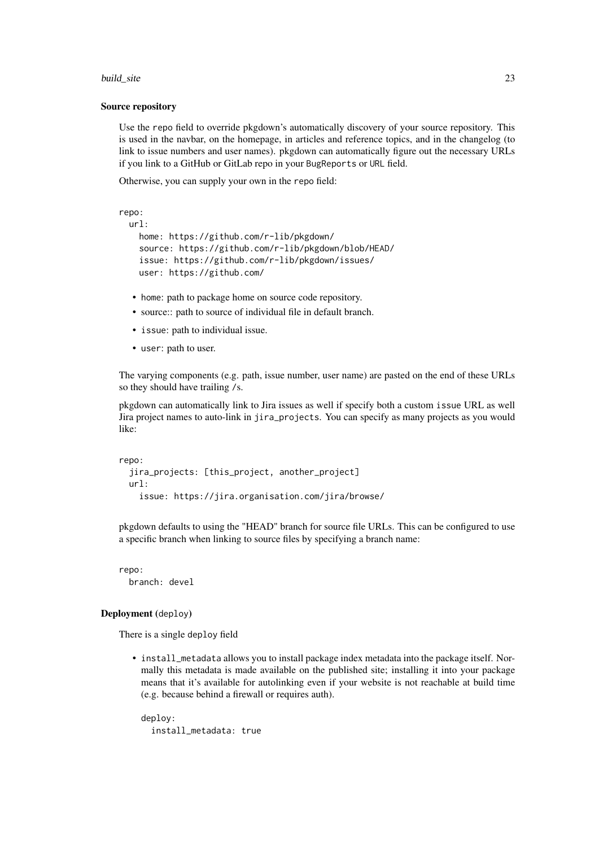#### build\_site 23

#### Source repository

Use the repo field to override pkgdown's automatically discovery of your source repository. This is used in the navbar, on the homepage, in articles and reference topics, and in the changelog (to link to issue numbers and user names). pkgdown can automatically figure out the necessary URLs if you link to a GitHub or GitLab repo in your BugReports or URL field.

Otherwise, you can supply your own in the repo field:

```
repo:
 url:
   home: https://github.com/r-lib/pkgdown/
    source: https://github.com/r-lib/pkgdown/blob/HEAD/
    issue: https://github.com/r-lib/pkgdown/issues/
   user: https://github.com/
```
- home: path to package home on source code repository.
- source:: path to source of individual file in default branch.
- issue: path to individual issue.
- user: path to user.

The varying components (e.g. path, issue number, user name) are pasted on the end of these URLs so they should have trailing /s.

pkgdown can automatically link to Jira issues as well if specify both a custom issue URL as well Jira project names to auto-link in jira\_projects. You can specify as many projects as you would like:

```
repo:
  jira_projects: [this_project, another_project]
 url:
    issue: https://jira.organisation.com/jira/browse/
```
pkgdown defaults to using the "HEAD" branch for source file URLs. This can be configured to use a specific branch when linking to source files by specifying a branch name:

```
repo:
  branch: devel
```
## Deployment (deploy)

There is a single deploy field

• install\_metadata allows you to install package index metadata into the package itself. Normally this metadata is made available on the published site; installing it into your package means that it's available for autolinking even if your website is not reachable at build time (e.g. because behind a firewall or requires auth).

```
deploy:
  install_metadata: true
```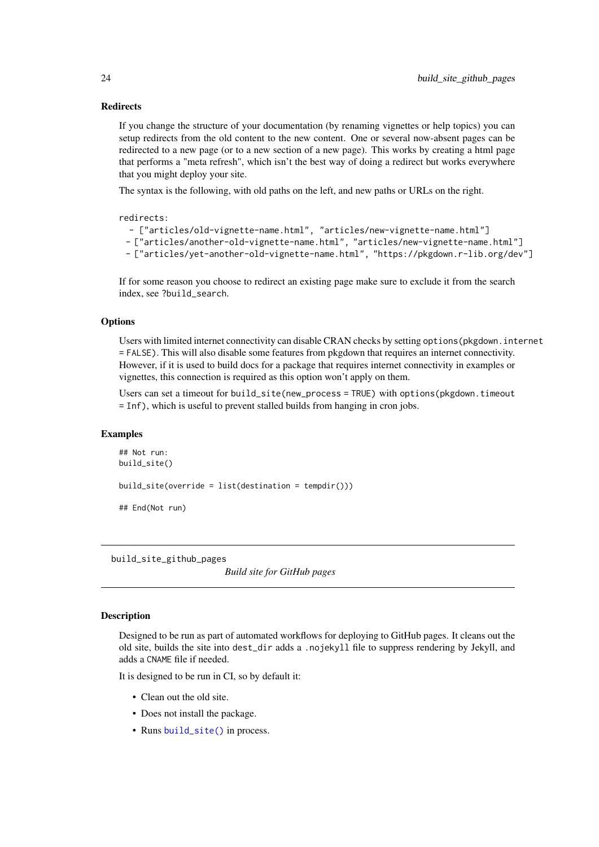#### **Redirects**

If you change the structure of your documentation (by renaming vignettes or help topics) you can setup redirects from the old content to the new content. One or several now-absent pages can be redirected to a new page (or to a new section of a new page). This works by creating a html page that performs a "meta refresh", which isn't the best way of doing a redirect but works everywhere that you might deploy your site.

The syntax is the following, with old paths on the left, and new paths or URLs on the right.

#### redirects:

```
- ["articles/old-vignette-name.html", "articles/new-vignette-name.html"]
```

```
- ["articles/another-old-vignette-name.html", "articles/new-vignette-name.html"]
```

```
- ["articles/yet-another-old-vignette-name.html", "https://pkgdown.r-lib.org/dev"]
```
If for some reason you choose to redirect an existing page make sure to exclude it from the search index, see ?build\_search.

#### **Options**

Users with limited internet connectivity can disable CRAN checks by setting options(pkgdown.internet = FALSE). This will also disable some features from pkgdown that requires an internet connectivity. However, if it is used to build docs for a package that requires internet connectivity in examples or vignettes, this connection is required as this option won't apply on them.

Users can set a timeout for build\_site(new\_process = TRUE) with options(pkgdown.timeout = Inf), which is useful to prevent stalled builds from hanging in cron jobs.

#### Examples

```
## Not run:
build_site()
build_site(override = list(destination = tempdir()))
## End(Not run)
```
build\_site\_github\_pages

*Build site for GitHub pages*

## **Description**

Designed to be run as part of automated workflows for deploying to GitHub pages. It cleans out the old site, builds the site into dest\_dir adds a .nojekyll file to suppress rendering by Jekyll, and adds a CNAME file if needed.

It is designed to be run in CI, so by default it:

- Clean out the old site.
- Does not install the package.
- Runs [build\\_site\(\)](#page-16-1) in process.

<span id="page-23-0"></span>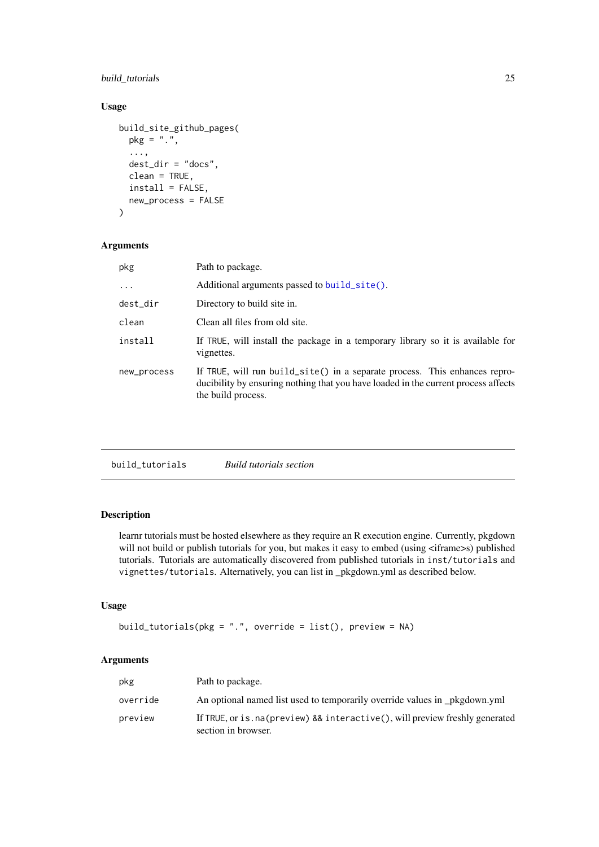## <span id="page-24-0"></span>build\_tutorials 25

## Usage

```
build_site_github_pages(
  pkg = "."...,
  dest_dir = "docs",
  clean = TRUE,
  install = FALSE,new_process = FALSE
\lambda
```
#### Arguments

| Path to package.                                                                                                                                                                       |
|----------------------------------------------------------------------------------------------------------------------------------------------------------------------------------------|
| Additional arguments passed to build_site().                                                                                                                                           |
| Directory to build site in.                                                                                                                                                            |
| Clean all files from old site.                                                                                                                                                         |
| If TRUE, will install the package in a temporary library so it is available for<br>vignettes.                                                                                          |
| If TRUE, will run build_site() in a separate process. This enhances repro-<br>ducibility by ensuring nothing that you have loaded in the current process affects<br>the build process. |
|                                                                                                                                                                                        |

<span id="page-24-1"></span>build\_tutorials *Build tutorials section*

## Description

learnr tutorials must be hosted elsewhere as they require an R execution engine. Currently, pkgdown will not build or publish tutorials for you, but makes it easy to embed (using <iframe>s) published tutorials. Tutorials are automatically discovered from published tutorials in inst/tutorials and vignettes/tutorials. Alternatively, you can list in \_pkgdown.yml as described below.

## Usage

```
build_tutorials(pkg = ".", override = list(), preview = NA)
```
## Arguments

| pkg      | Path to package.                                                                                        |
|----------|---------------------------------------------------------------------------------------------------------|
| override | An optional named list used to temporarily override values in _pkgdown.yml                              |
| preview  | If TRUE, or is . na (preview) & & interactive (), will preview freshly generated<br>section in browser. |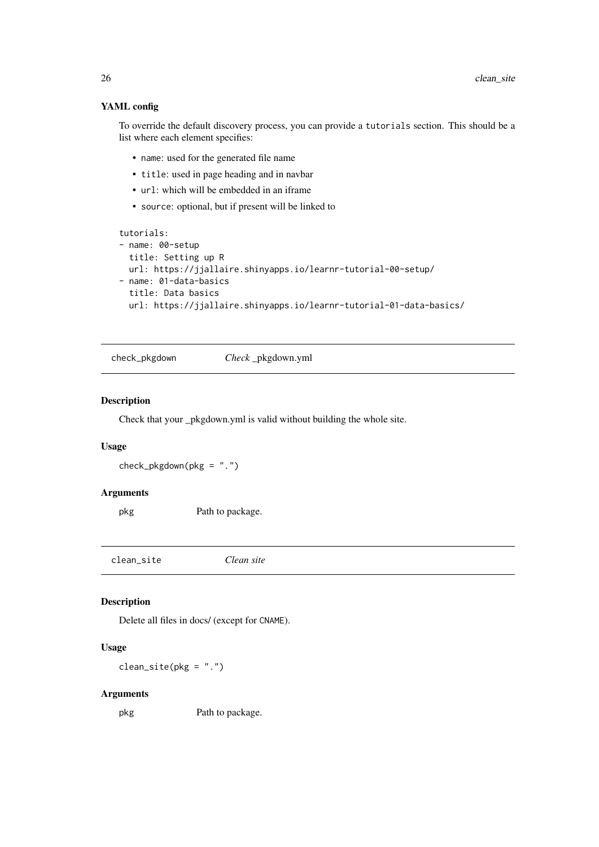## YAML config

To override the default discovery process, you can provide a tutorials section. This should be a list where each element specifies:

- name: used for the generated file name
- title: used in page heading and in navbar
- url: which will be embedded in an iframe
- source: optional, but if present will be linked to

```
tutorials:
```

```
- name: 00-setup
 title: Setting up R
 url: https://jjallaire.shinyapps.io/learnr-tutorial-00-setup/
- name: 01-data-basics
 title: Data basics
 url: https://jjallaire.shinyapps.io/learnr-tutorial-01-data-basics/
```
check\_pkgdown *Check* \_pkgdown.yml

## Description

Check that your \_pkgdown.yml is valid without building the whole site.

## Usage

check\_pkgdown(pkg = ".")

#### Arguments

pkg Path to package.

clean\_site *Clean site*

## Description

Delete all files in docs/ (except for CNAME).

## Usage

 $clean\_site(pkg = "."')$ 

#### Arguments

pkg Path to package.

<span id="page-25-0"></span>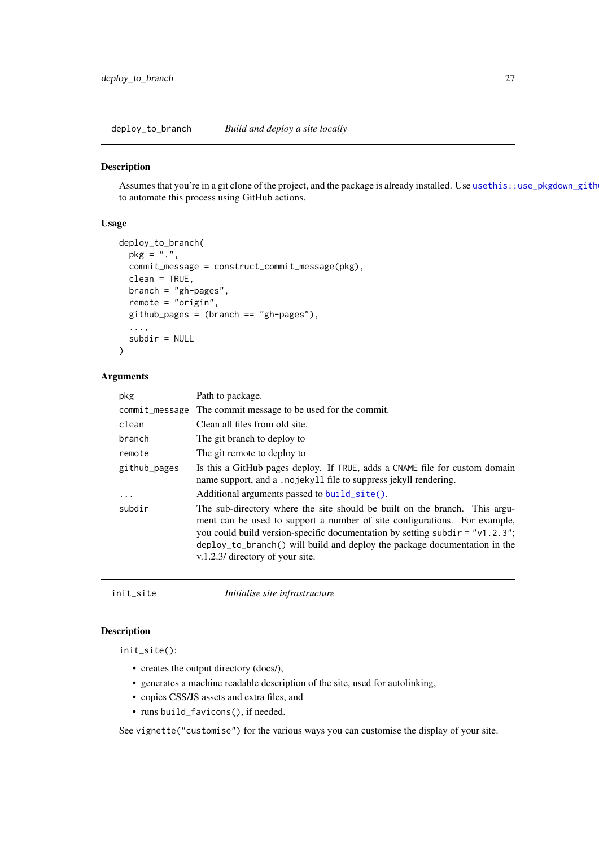<span id="page-26-0"></span>deploy\_to\_branch *Build and deploy a site locally*

## Description

Assumes that you're in a git clone of the project, and the package is already installed. Use usethis::use\_pkgdown\_gith to automate this process using GitHub actions.

## Usage

```
deploy_to_branch(
  pkg = "."commit_message = construct_commit_message(pkg),
  clean = TRUE,
  branch = "gh-pages",
  remote = "origin",
  github_pages = (branch == "gh-pages"),...,
  subdir = NULL\lambda
```
#### Arguments

| Path to package.                                                                                                                                                                                                                                                                                                                                            |
|-------------------------------------------------------------------------------------------------------------------------------------------------------------------------------------------------------------------------------------------------------------------------------------------------------------------------------------------------------------|
| commit_message The commit message to be used for the commit.                                                                                                                                                                                                                                                                                                |
| Clean all files from old site.                                                                                                                                                                                                                                                                                                                              |
| The git branch to deploy to                                                                                                                                                                                                                                                                                                                                 |
| The git remote to deploy to                                                                                                                                                                                                                                                                                                                                 |
| Is this a GitHub pages deploy. If TRUE, adds a CNAME file for custom domain<br>name support, and a .nojekyll file to suppress jekyll rendering.                                                                                                                                                                                                             |
| Additional arguments passed to build_site().                                                                                                                                                                                                                                                                                                                |
| The sub-directory where the site should be built on the branch. This argu-<br>ment can be used to support a number of site configurations. For example,<br>you could build version-specific documentation by setting subdir = $"v1.2.3"$ ;<br>deploy_to_branch() will build and deploy the package documentation in the<br>v.1.2.3/ directory of your site. |
|                                                                                                                                                                                                                                                                                                                                                             |

<span id="page-26-1"></span>

| init_site | Initialise site infrastructure |
|-----------|--------------------------------|
|           |                                |

## Description

init\_site():

- creates the output directory (docs/),
- generates a machine readable description of the site, used for autolinking,
- copies CSS/JS assets and extra files, and
- runs build\_favicons(), if needed.

See vignette("customise") for the various ways you can customise the display of your site.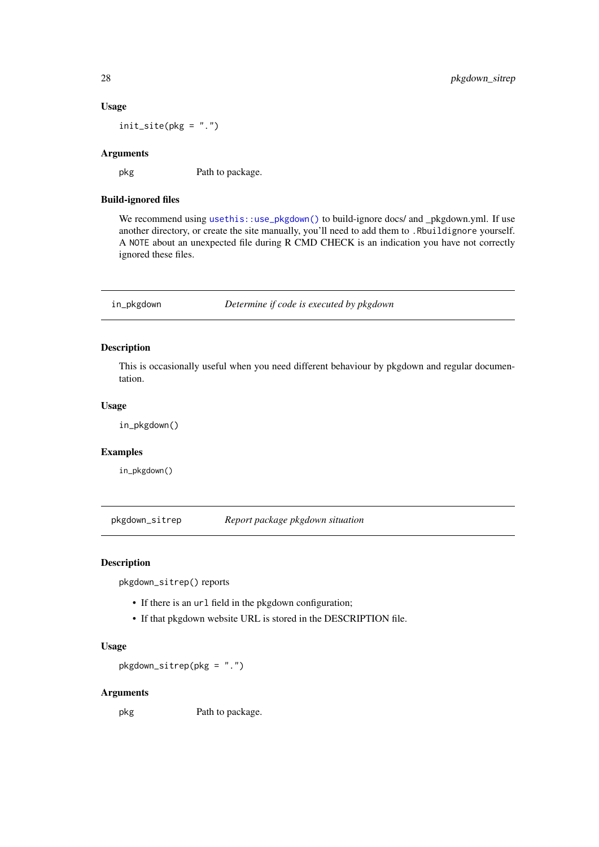#### Usage

init\_site(pkg = ".")

## Arguments

pkg Path to package.

#### Build-ignored files

We recommend using [usethis::use\\_pkgdown\(\)](#page-0-0) to build-ignore docs/ and \_pkgdown.yml. If use another directory, or create the site manually, you'll need to add them to .Rbuildignore yourself. A NOTE about an unexpected file during R CMD CHECK is an indication you have not correctly ignored these files.

in\_pkgdown *Determine if code is executed by pkgdown*

## Description

This is occasionally useful when you need different behaviour by pkgdown and regular documentation.

## Usage

in\_pkgdown()

## Examples

in\_pkgdown()

pkgdown\_sitrep *Report package pkgdown situation*

#### Description

pkgdown\_sitrep() reports

- If there is an url field in the pkgdown configuration;
- If that pkgdown website URL is stored in the DESCRIPTION file.

## Usage

pkgdown\_sitrep(pkg = ".")

## Arguments

pkg Path to package.

<span id="page-27-0"></span>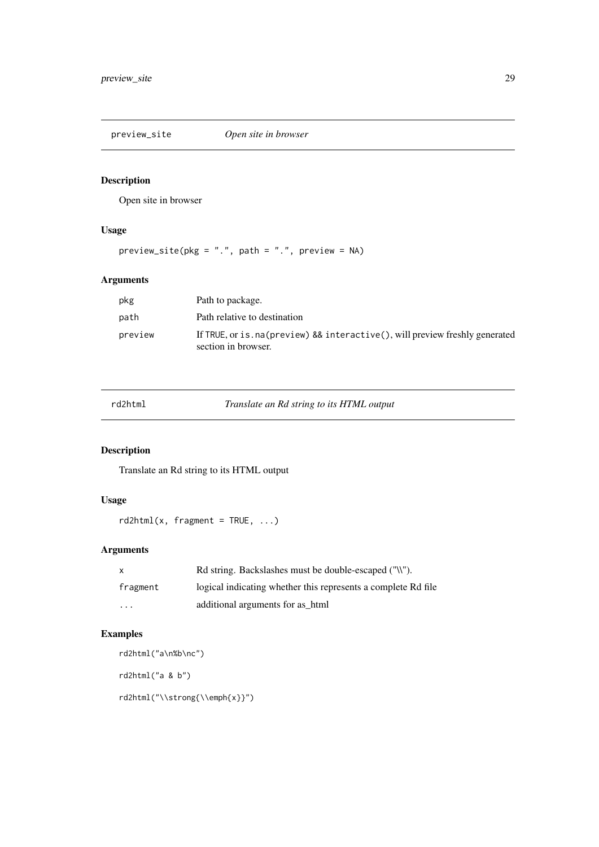<span id="page-28-0"></span>preview\_site *Open site in browser*

## Description

Open site in browser

## Usage

 $preview\_site(pkg = "."$ ,  $path = "."$ ,  $preview = NA)$ 

## Arguments

| pkg     | Path to package.                                                                                      |
|---------|-------------------------------------------------------------------------------------------------------|
| path    | Path relative to destination                                                                          |
| preview | If TRUE, or is . na (preview) && interactive(), will preview freshly generated<br>section in browser. |

Translate an Rd string to its HTML output

## Description

Translate an Rd string to its HTML output

## Usage

```
rd2html(x, fragment = TRUE, ...)
```
## Arguments

| X                       | Rd string. Backslashes must be double-escaped ("\\").         |
|-------------------------|---------------------------------------------------------------|
| fragment                | logical indicating whether this represents a complete Rd file |
| $\cdot$ $\cdot$ $\cdot$ | additional arguments for as html                              |

## Examples

```
rd2html("a\n%b\nc")
rd2html("a & b")
rd2html("\\strong{\\emph{x}}")
```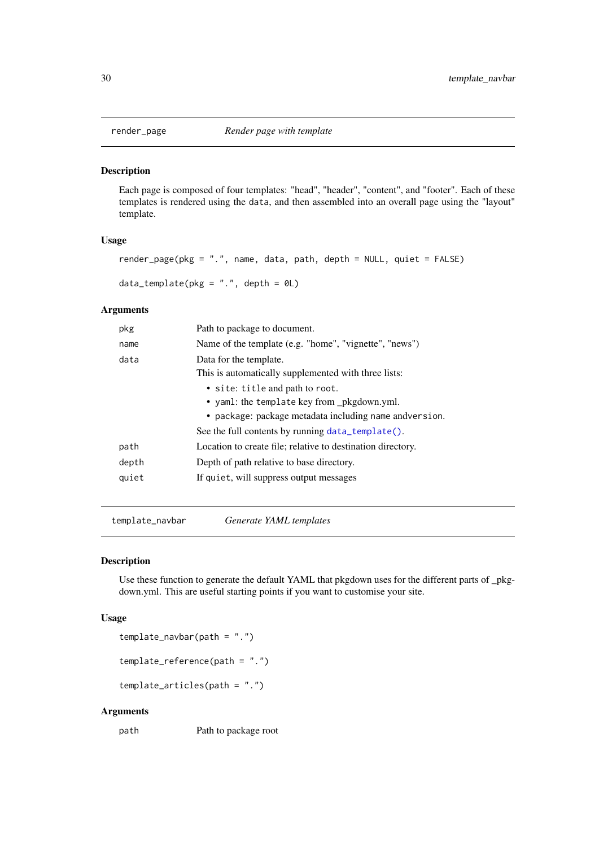<span id="page-29-0"></span>

#### <span id="page-29-1"></span>Description

Each page is composed of four templates: "head", "header", "content", and "footer". Each of these templates is rendered using the data, and then assembled into an overall page using the "layout" template.

#### Usage

```
render_page(pkg = ".", name, data, path, depth = NULL, quiet = FALSE)
```
 $data_t$ emplate(pkg = ".", depth = 0L)

## Arguments

| pkg   | Path to package to document.                                |
|-------|-------------------------------------------------------------|
| name  | Name of the template (e.g. "home", "vignette", "news")      |
| data  | Data for the template.                                      |
|       | This is automatically supplemented with three lists:        |
|       | • site: title and path to root.                             |
|       | • yaml: the template key from _pkgdown.yml.                 |
|       | • package: package metadata including name andversion.      |
|       | See the full contents by running data_template().           |
| path  | Location to create file; relative to destination directory. |
| depth | Depth of path relative to base directory.                   |
| quiet | If quiet, will suppress output messages                     |
|       |                                                             |

template\_navbar *Generate YAML templates*

#### Description

Use these function to generate the default YAML that pkgdown uses for the different parts of \_pkgdown.yml. This are useful starting points if you want to customise your site.

## Usage

template\_navbar(path = ".")

template\_reference(path = ".")

template\_articles(path = ".")

## Arguments

path Path to package root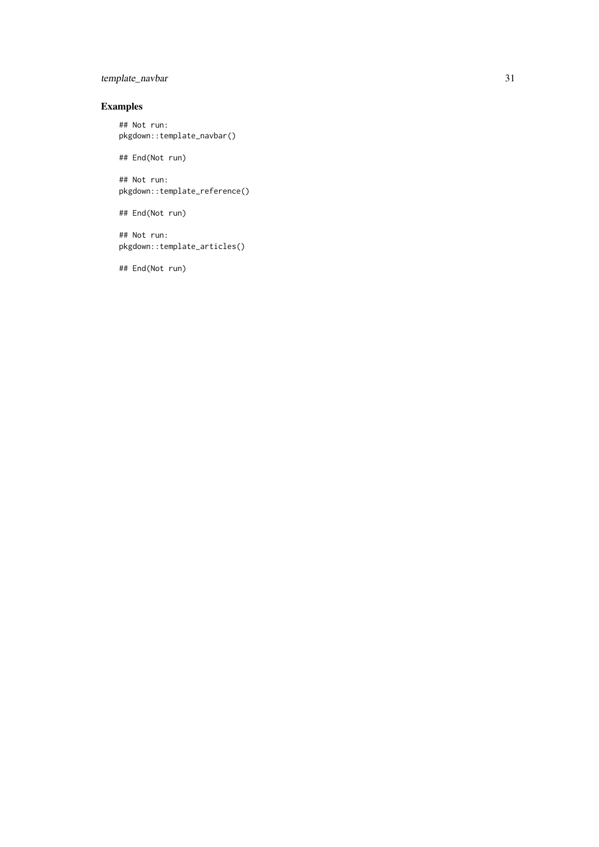## template\_navbar 31

## Examples

## Not run: pkgdown::template\_navbar()

## End(Not run)

## Not run: pkgdown::template\_reference()

## End(Not run)

## Not run: pkgdown::template\_articles()

## End(Not run)